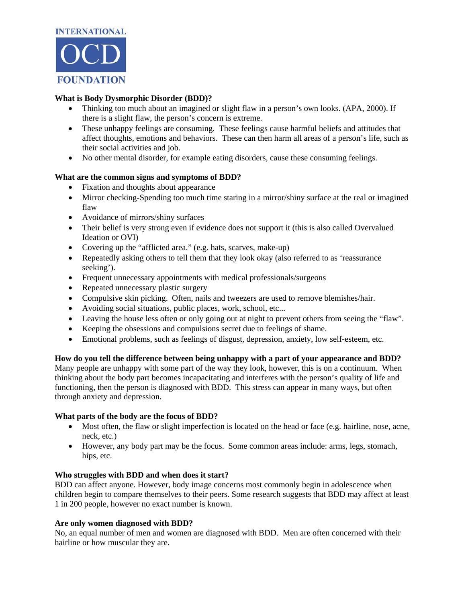

# **What is Body Dysmorphic Disorder (BDD)?**

- Thinking too much about an imagined or slight flaw in a person's own looks. (APA, 2000). If there is a slight flaw, the person's concern is extreme.
- These unhappy feelings are consuming. These feelings cause harmful beliefs and attitudes that affect thoughts, emotions and behaviors. These can then harm all areas of a person's life, such as their social activities and job.
- No other mental disorder, for example eating disorders, cause these consuming feelings.

### **What are the common signs and symptoms of BDD?**

- Fixation and thoughts about appearance
- Mirror checking-Spending too much time staring in a mirror/shiny surface at the real or imagined flaw
- Avoidance of mirrors/shiny surfaces
- Their belief is very strong even if evidence does not support it (this is also called Overvalued Ideation or OVI)
- Covering up the "afflicted area." (e.g. hats, scarves, make-up)
- Repeatedly asking others to tell them that they look okay (also referred to as 'reassurance seeking').
- Frequent unnecessary appointments with medical professionals/surgeons
- Repeated unnecessary plastic surgery
- Compulsive skin picking. Often, nails and tweezers are used to remove blemishes/hair.
- Avoiding social situations, public places, work, school, etc...
- Leaving the house less often or only going out at night to prevent others from seeing the "flaw".
- Keeping the obsessions and compulsions secret due to feelings of shame.
- Emotional problems, such as feelings of disgust, depression, anxiety, low self-esteem, etc.

**How do you tell the difference between being unhappy with a part of your appearance and BDD?**  Many people are unhappy with some part of the way they look, however, this is on a continuum. When thinking about the body part becomes incapacitating and interferes with the person's quality of life and functioning, then the person is diagnosed with BDD. This stress can appear in many ways, but often through anxiety and depression.

### **What parts of the body are the focus of BDD?**

- Most often, the flaw or slight imperfection is located on the head or face (e.g. hairline, nose, acne, neck, etc.)
- However, any body part may be the focus. Some common areas include: arms, legs, stomach, hips, etc.

### **Who struggles with BDD and when does it start?**

BDD can affect anyone. However, body image concerns most commonly begin in adolescence when children begin to compare themselves to their peers. Some research suggests that BDD may affect at least 1 in 200 people, however no exact number is known.

### **Are only women diagnosed with BDD?**

No, an equal number of men and women are diagnosed with BDD. Men are often concerned with their hairline or how muscular they are.